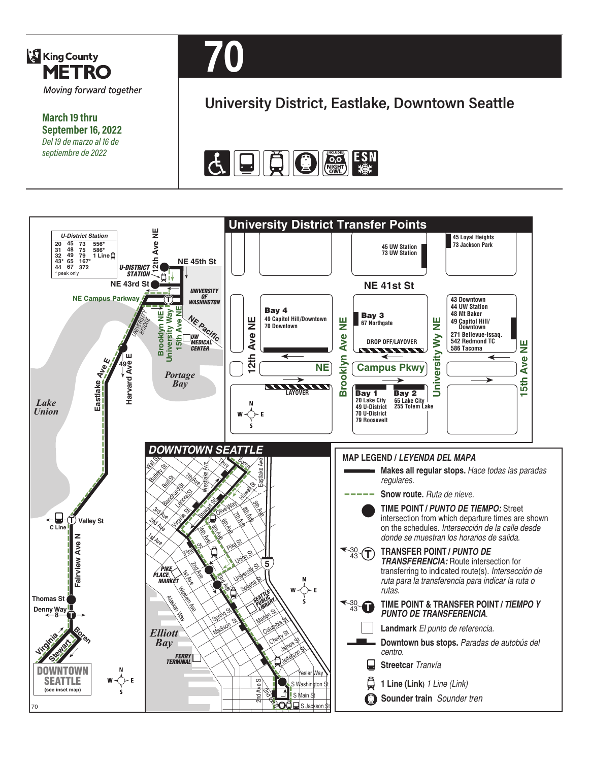

**March 19 thru September 16, 2022** *Del 19 de marzo al 16 de septiembre de 2022*



# **University District, Eastlake, Downtown Seattle**



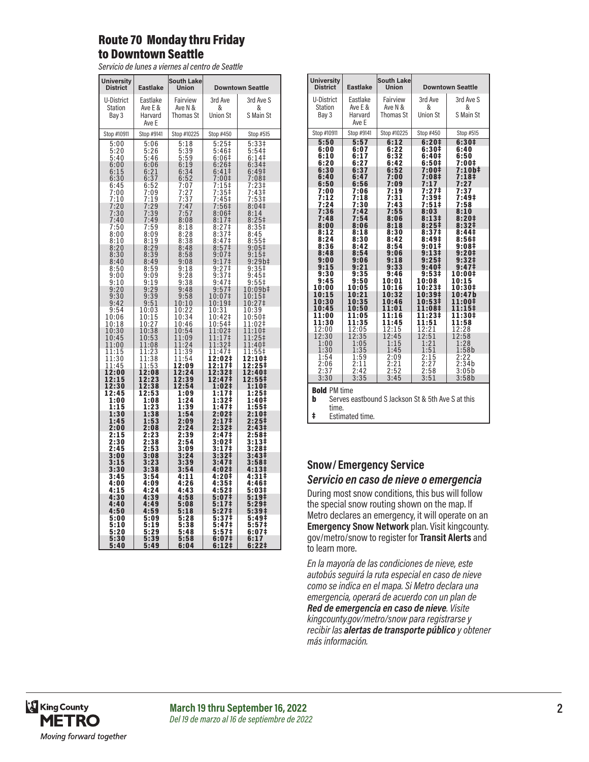#### Route 70 Monday thru Friday to Downtown Seattle

*Servicio de lunes a viernes al centro de Seattle*

| <b>University</b><br><b>District</b> | <b>Eastlake</b>                                        | <b>South Lake</b><br>Union                             |                                                 | <b>Downtown Seattle</b>                |
|--------------------------------------|--------------------------------------------------------|--------------------------------------------------------|-------------------------------------------------|----------------------------------------|
| U-District<br>Station<br>Bay 3       | Eastlake<br>Ave E &<br>Harvard                         | Fairview<br>Ave N &<br>Thomas St                       | 3rd Ave<br>&<br><b>Union St</b>                 | 3rd Ave S<br>&<br>S Main St            |
| Stop #10911                          | Ave E<br>Stop #9141                                    | Stop #10225                                            | Stop #450                                       | Stop #515                              |
| 5:00                                 | 5:06                                                   |                                                        | $\frac{5:25}{5:46}$                             | $\frac{5:331}{5:541}$                  |
| 5:20<br>5:40                         | 5:26<br>5:46                                           | $\frac{5:18}{5:39}$<br>$\frac{5:59}{6:19}$             | 6:06 <sup>‡</sup>                               | 6:14                                   |
| 6:00<br>6:15                         | 6:06<br>6:21                                           | 6:34                                                   | $6:26+$<br>6:41‡                                | 6:34 <sup>‡</sup><br>6:49‡             |
| 6:30<br>6:45                         | 6:37<br>6:52                                           |                                                        | 7:00‡                                           | 7:08 <sup>‡</sup>                      |
| 7:00<br>7:10                         | 7:09<br>7:19<br>7:19                                   | $6:52$<br>$7:07$<br>$7:27$<br>$7:37$                   | $7:15$<br>$7:35$ <del>:</del><br>7:35‡<br>7:45‡ | $7:23$<br>$7:43$<br>$7:53$<br>$7:53$   |
| 7:20<br>7:30                         | 7:29<br>7:39                                           | 7:47                                                   | 7:56‡<br>8:06‡                                  | 8:04 <sup>‡</sup>                      |
| 7:40                                 | <br>7:49                                               | $7:57$<br>$8:08$                                       | 8:17 <sup>‡</sup>                               | $8:14$<br>$8:25#$                      |
| $7:50$<br>8:00<br>8:10               | $7:59$<br>8:09<br>8:19                                 | $8:18$<br>$8:28$<br>$8:38$                             | $8:27$<br>$8:37$<br>$8:37$<br>$8:47$            | $8:35+$<br>$8:45$<br>8:55‡             |
| 8:20<br>8:30                         | 8:29<br>8:39                                           | 8:48                                                   | 8:57 <sup>‡</sup>                               | $9:05\ddagger$<br>$9:15+$              |
| 8:40                                 | 8:49                                                   | 8:58<br>9:08                                           | $9:07$<br>$5:17$                                | 9:29b#                                 |
| 8:50<br>9:00                         | 8:59<br>9:09                                           | $9:18$<br>$9:28$                                       | 9:27‡<br>9:37‡                                  | $9:357$<br>9:45#                       |
| 9:10<br>9:20                         | 9:19<br>9:29                                           | 9:38<br>9:48                                           | 9:47 <sup>‡</sup><br>9:57 <sup>1</sup>          | $9:55$ ‡<br>10:09b‡                    |
| 9:30<br>9:42                         | $\overline{39}$<br>$9:39$<br>$9:51$                    | 9:58<br>10:10                                          | 10:07‡<br>10:19‡                                | 10:15‡<br>10:27 <sup>‡</sup>           |
| 9:54<br>10:06                        | 10:03<br>10:15<br>10:27                                | $\begin{array}{c} 10:22 \\ 10:34 \\ 10:46 \end{array}$ | 10:31<br>10:42‡                                 | 10:39<br>10:50‡                        |
| 10:18<br>10:30                       | 10:38                                                  | 10:54                                                  | 10:54‡<br>11:02‡                                | 1:02<br>1<br>1<br>1:10 <sup>‡</sup>    |
| 10:45<br>11:00                       | 10:53<br>11:08                                         | 11:09<br>11:24                                         | 11:17‡<br>11:32‡                                | 11:25‡<br>11:40‡                       |
| 11:15<br>11:30                       | $\begin{array}{c} 11:23 \\ 11:38 \\ 11:53 \end{array}$ | 1:39<br>1<br>11:54                                     | 1:47 <sup>‡</sup><br>1<br>12:02‡                | 11:55‡<br>1<br>2:10‡                   |
| 11:45<br>12:00                       | 12:08                                                  | 12:09<br>12:24                                         | 12:17‡<br>12:32‡                                | 12:25‡<br>12:40‡                       |
| 12:15<br>12:30                       | 12:23<br>12:38                                         | 12:39<br>12:54                                         | 12:47‡<br>1:02‡                                 | 12:55‡<br>1:10‡                        |
| 12:45<br>1:00                        | 12:53<br>1:08                                          | 1:09<br>1:24                                           | 1:17‡<br>$1:32+$                                | $1:25+$<br>1:40‡                       |
| 1:15<br>1:30                         | 1:23<br>1:38                                           | 1:39<br>1:54                                           | 1:47‡<br>2:02‡                                  | 1:55‡<br>2:10‡                         |
| 1:45                                 | 1:53                                                   | 2:09                                                   | 2:17‡                                           | 2:25‡                                  |
| 2:00<br>2:15<br>2:30                 | 2:08<br>$2:23$<br>$2:38$                               | 2:24<br>2:39<br>$\frac{1}{2:54}$                       | 2:32‡<br>2:47‡<br>3:02‡                         | 2:43‡<br>2:58 <sup>‡</sup><br>3:13‡    |
| 2:45<br>3:00                         | 2:53<br>3:08                                           | 3:09<br>3:24                                           | 3:17‡<br>3:32 <sup>‡</sup>                      | 3:28 <sup>‡</sup><br>3:43 <sup>‡</sup> |
| $3:15$<br>$3:30$                     | $\frac{3:23}{3:38}$                                    | $3:39$<br>$3:54$                                       | 3:47‡                                           | 3:58‡                                  |
| 3:45                                 | 3:54                                                   | 4:11                                                   | 4:02‡<br>4:201                                  | 4:13‡<br>$4:31+$                       |
| 4:00<br>4:15                         | 4:09<br>4:24                                           | 4:26<br>4:43                                           | 4:35‡<br>4:52‡                                  | 4:46‡<br>5:03‡                         |
| 4:30<br>4:40<br>4:50                 | 4:39<br>4:49<br>4:59                                   | 4:58<br>5:08<br>5:18                                   | 5:07‡<br>5:17‡<br>5:27‡                         | 5:19‡<br>5:29‡<br>5:39‡                |
| 5:00<br>5:10                         | 5:09<br>5:19                                           | 5:28<br>5:38                                           | 5:37‡<br>5:47‡                                  | $5:49+$<br>5:57 <sup>‡</sup>           |
| 5:20<br>5:30                         | 5:29<br>5:39                                           | 5:48<br>5:58                                           | 5:57‡<br>6:07‡                                  | 6:07‡<br>6:17                          |
| 5:40                                 | 5:49                                                   | 6:04                                                   | 6:12‡                                           | 6:221                                  |

| <b>University</b><br><b>District</b> | <b>Eastlake</b>  | <b>South Lake</b><br><b>Union</b>                 |                            | <b>Downtown Seattle</b> |
|--------------------------------------|------------------|---------------------------------------------------|----------------------------|-------------------------|
| U-District                           | Eastlake         | Fairview                                          | 3rd Ave                    | 3rd Ave S               |
| <b>Station</b>                       | Ave E &          | Ave N &                                           | &                          | &                       |
| Bay 3                                | Harvard<br>Ave E | Thomas St                                         | <b>Union St</b>            | S Main St               |
| Stop #10911                          | Stop #9141       | Stop #10225                                       | Stop #450                  | Stop #515               |
| 5:50                                 | 5:57             | 6:12                                              | 6:20#                      | 6:30#                   |
| 6:00<br>6:10                         | 6:07<br>6:17     | 6:22<br>6:32                                      | 6:30‡<br>6:40‡             | 6:40<br>6:50            |
| 6:20                                 | 6:27             | 6:42                                              | 6:50‡                      | 7:00‡                   |
| 6:30                                 | 6:37<br>6:47     | 6:52                                              | 7:00‡<br>7:08‡             | 7:10b‡<br>7:18‡         |
| 6:40<br>6:50                         | 6:56             | 7:00<br>7:09                                      | 7:17                       | 7:27                    |
| 7:00                                 | 7:06             | 7:19                                              | 7:27‡                      | 7:37                    |
| 7:12<br>7:24                         | 7:18<br>7:30     | 7:31<br>7:43                                      | 7:39‡<br>7:51‡             | 7:49‡<br>7:58           |
| 7:36                                 | 7:42             | 7:55                                              | 8:03                       | 8:10                    |
| 7:48<br>8:00                         | 7:54             | 8:06<br>8:18                                      | 8:13‡                      | 8:20‡                   |
| 8:12                                 | 8:06<br>8:18     | 8:30                                              | 8:25‡<br>8:37 <sup>‡</sup> | 8:32‡<br>8:44‡          |
| 8:24                                 | 8:30             | 8:42                                              | 8:49‡                      | 8:56‡                   |
| 8:36<br>8:48                         | 8:42<br>8:54     | 8:54<br>9:06                                      | 9:01‡<br>9:13‡             | 9:08‡<br>9:20‡          |
| 9:00                                 | 9:06             | 9:18                                              | 9:25 <sup>‡</sup>          | 9:32‡                   |
| 9:15<br>9:30                         | 9:21<br>9:35     | 9:33<br>9:46                                      | 9:40‡<br>9:53‡             | 9:47‡<br>10:00‡         |
| 9:45                                 | 9:50             | 10:01                                             | 10:08                      | 10:15                   |
| 10:00                                | 10:05            | 10:16                                             | 10:23‡                     | 10:30‡                  |
| 10:15<br>10:30                       | 10:21<br>10:35   | 10:32<br>10:46                                    | 10:39‡<br>10:53‡           | 10:47b<br>11:00‡        |
| 10:45                                | 10:50            | 11:01                                             | 11:08‡                     | $11:15^{\ddagger}$      |
| 11:00<br>11:30                       | 11:05<br>11:35   | 11:16<br>11:45                                    | 11:23‡<br>11:51            | 11:30‡<br>11:58         |
| 12:00                                | 12:05            | 12:15                                             | 12:21                      | 12:28                   |
| 12:30                                | 12:35            | 12:45                                             | 12:51                      | 12:58                   |
| 1:00<br>1:30                         | 1:05<br>1:35     | 1:15<br>1:45                                      | 1:21<br>1:51               | 1:28<br>1:58b           |
| 1:54                                 | 1:59             | 2:09                                              | 2:15                       | 2:22                    |
| 2:06<br>2:37                         | 2:11<br>2:42     | 2:21<br>2:52                                      | 2:27<br>2:58               | 2:34b<br>3:05b          |
| 3:30                                 | 3:35             | 3:45                                              | 3:51                       | 3:58b                   |
| <b>Bold PM time</b>                  |                  |                                                   |                            |                         |
| b                                    |                  | Serves eastbound S Jackson St & 5th Ave S at this |                            |                         |
| time.                                |                  |                                                   |                            |                         |
| ŧ<br>Estimated time.                 |                  |                                                   |                            |                         |

#### **Snow/ Emergency Service**  *Servicio en caso de nieve o emergencia*

During most snow conditions, this bus will follow the special snow routing shown on the map. If Metro declares an emergency, it will operate on an **Emergency Snow Network** plan. Visit kingcounty. gov/metro/snow to register for **Transit Alerts** and to learn more.

*En la mayoría de las condiciones de nieve, este autobús seguirá la ruta especial en caso de nieve como se indica en el mapa. Si Metro declara una emergencia, operará de acuerdo con un plan de Red de emergencia en caso de nieve. Visite kingcounty.gov/metro/snow para registrarse y recibir las alertas de transporte público y obtener más información.*

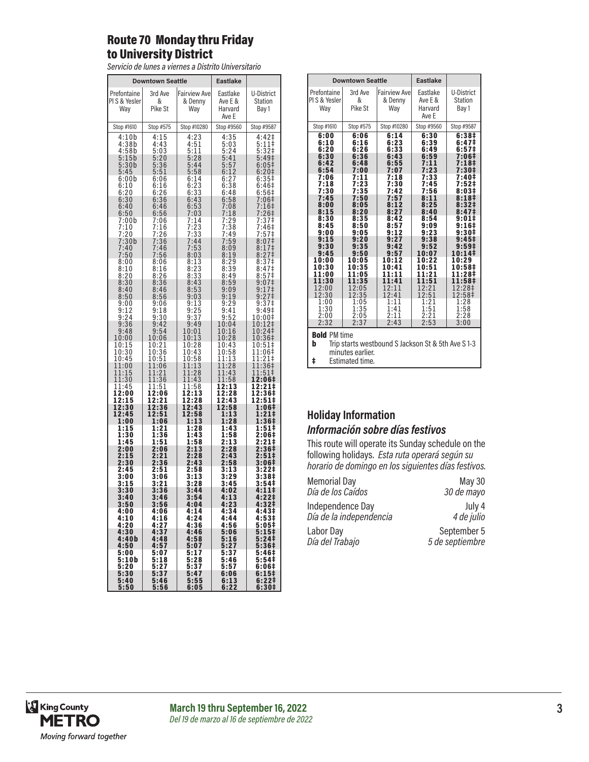#### Route 70 Monday thru Friday to University District

*Servicio de lunes a viernes a Distrito Universitario*

|                                                            | <b>Downtown Seattle</b>                                             |                                                      | <b>Eastlake</b>                                                                     |                                                                                        |
|------------------------------------------------------------|---------------------------------------------------------------------|------------------------------------------------------|-------------------------------------------------------------------------------------|----------------------------------------------------------------------------------------|
| Prefontaine<br>PIS & Yesler<br>Way                         | 3rd Ave<br>&<br>Pike St                                             | <b>Fairview Ave</b><br>& Denny<br>Way                | Eastlake<br>Ave E &<br>Harvard<br>Ave E                                             | <b>U-District</b><br>Station<br>Bay 1                                                  |
| Stop #1610                                                 | Stop #575                                                           | Stop #10280                                          | Stop #9560                                                                          | Stop #9587                                                                             |
| 4:10b<br>4:38b<br>4:58b<br>5:15b<br>5:30b<br>5:45<br>6:00b | 4:15<br>4:43<br>5:03<br>5:20<br>$5:36$<br>$5:51$<br>6:06            | 4:23<br>4:51<br>5:11<br>5:28<br>5:44<br>5:58<br>6:14 | 4:35<br>5:03<br>5:24<br>5:41<br>$\begin{array}{c} 5:57 \\ 6:12 \end{array}$<br>6:27 | 4:42‡<br>5:11‡<br>5:32 <sup>‡</sup><br>5:49 <sup>‡</sup><br>$6:05$ ‡<br>6:20‡<br>6:35# |
| 6:10                                                       | 6:16                                                                | 6:23                                                 | 6:38                                                                                | 6:46 <sup>‡</sup>                                                                      |
| 6:20                                                       | 6:26                                                                | 6:33                                                 | 6:48                                                                                | 6:56#                                                                                  |
| 6:30                                                       | 6:36                                                                | 6:43                                                 | 6:58                                                                                | 7:06‡                                                                                  |
| 6:40                                                       | 6:46                                                                | 6:53                                                 | 7:08                                                                                | $7:16$ ‡                                                                               |
| 6:50                                                       | 6:56                                                                | 7:03                                                 | 7:18                                                                                | 7:26‡                                                                                  |
| 7:00b<br>7:10<br>7:20<br>7:30b                             | 7:06<br>7:16<br>7:<br>$\begin{array}{c} 26 \\ 36 \end{array}$<br>7: | 7:14<br>7:23<br>7:33<br>7:44                         | 7:29<br>7:38<br>7:49<br>7:59                                                        | 7:37‡<br>7:46‡<br>7:57‡                                                                |
| 7:40<br>7:50<br>8:00                                       | 7:46<br>7:56<br>8:06                                                | 7:53<br>8:03<br>8:13                                 | 8:09<br>8:19<br>8:29                                                                | $8:07\ddagger$<br>8:17‡<br>8:27 <sup>‡</sup><br>8:37 <sup>‡</sup>                      |
| 8:10<br>8:20<br>8:30                                       | 8:16<br>8:26<br>8:36                                                | 8:23<br>8:33<br>8:43                                 | $8:39$<br>$8:49$<br>8:59                                                            | 8:47‡<br>8:57 <sup>‡</sup><br>$9:07$ ‡                                                 |
| 8:40<br>8:50<br>9:00                                       | 8:46<br>8:56<br>9:06                                                | 8:53<br>9:03<br>9:13                                 | 9:09<br>9:19                                                                        | $9:17$ ‡<br>9:27 <sup>‡</sup><br>9:37‡                                                 |
| 9:12                                                       | 9:18                                                                | 9:25                                                 | $9:29$<br>$9:41$                                                                    | $9:49^{+}$                                                                             |
| 9:24                                                       | 9:30                                                                | 9:37                                                 | 9:52                                                                                | 10:00‡                                                                                 |
| 9:36                                                       | 9:42                                                                | 9:49                                                 | 10:04                                                                               | 10:12‡                                                                                 |
| 9:48                                                       | 9:54                                                                | 10:01                                                | 10:16                                                                               | 10:24‡                                                                                 |
| 10:00                                                      | 10:06                                                               | 10:13                                                | 10:28                                                                               | 10:36‡                                                                                 |
| 10:15                                                      | 10:21                                                               | 10:28                                                | 10:43                                                                               | 10:51‡                                                                                 |
| 10:30<br>10:45<br>11:00                                    | 10:36<br>0:51<br>1<br>1:06<br>1                                     | 10:43<br>10:58<br>11:13                              | 10:58<br>11:13<br>1<br>1:28                                                         | 11:06‡<br>11:21‡<br>1:36‡<br>1                                                         |
| 11:15<br>11:30<br>11:45                                    | 11:21<br>1:36<br>1<br>1:51<br>1                                     | 11:28<br>11:43<br>11:58                              | 11:43<br>11:58<br>12:13                                                             | 11:51‡<br>12:06‡<br>12:21‡                                                             |
| 12:00<br>12:15                                             | 12:06<br>2:21<br>1                                                  | 12:13<br>12:28                                       | 12:28<br>12:43                                                                      | 12:36‡<br>12:51‡                                                                       |
| 12:30                                                      | 12:36                                                               | 12:43                                                | 12:58                                                                               | 1:06‡                                                                                  |
| 12:45                                                      | 12:51                                                               | 12:58                                                | 1:13                                                                                | 1:21‡                                                                                  |
| 1:00                                                       | 1:06                                                                | 1:13                                                 | 1:28                                                                                | 1:36‡                                                                                  |
| 1:15                                                       | 1:21                                                                | 1:28                                                 | 1:43                                                                                | 1:51‡                                                                                  |
| 1:30                                                       | 1:36                                                                | 1:43                                                 | 1:58                                                                                | 2:06‡                                                                                  |
| 1:45                                                       | 1:51                                                                | 1:58                                                 | 2:13                                                                                | 2:21‡                                                                                  |
| 2:00                                                       | 2:06                                                                | 2:13                                                 | 2:28                                                                                | 2:36‡                                                                                  |
| 2:15                                                       | 2:21                                                                | 2:28                                                 | 2:43                                                                                | 2:51‡                                                                                  |
| 2:30                                                       | 2:36                                                                | 2:43                                                 | 2:58                                                                                | 3:06‡                                                                                  |
| 2:45<br>3:00<br>3:15                                       | 2:51<br>3:06<br>3:21                                                | 2:58<br>$3:13$<br>$3:28$                             | 3:13<br>3:29<br>3:45                                                                | 3:22‡<br>3:38‡<br>3:54‡                                                                |
| 3:30                                                       | 3:36                                                                | 3:44                                                 | 4:02                                                                                | 4:11‡                                                                                  |
| 3:40                                                       | 3:46                                                                | 3:54                                                 | 4:13                                                                                | 4:22‡                                                                                  |
| 3:50                                                       | 3:56                                                                | 4:04                                                 | 4:23                                                                                | 4:32Ŧ                                                                                  |
| 4:00                                                       | 4:06                                                                | 4:14                                                 | 4:34                                                                                | 4:43‡                                                                                  |
| 4:10                                                       | 4:16                                                                | 4:24                                                 | 4:44                                                                                | 4:53#                                                                                  |
| 4:20                                                       | 4:27                                                                | 4:36                                                 | 4:56                                                                                | 5:05‡                                                                                  |
| 4:30                                                       | 4:37                                                                | 4:46                                                 | 5:06                                                                                | 5:15‡                                                                                  |
| 4:40b                                                      | 4:48                                                                | 4:58                                                 | 5:16                                                                                | 5:24‡                                                                                  |
| 4:50                                                       | 4:57                                                                | 5:07                                                 | 5:27                                                                                | 5:36‡                                                                                  |
| 5:00                                                       | 5:07                                                                | 5:17                                                 | 5:37                                                                                | 5:46‡                                                                                  |
| 5:10b                                                      | 5:18                                                                | 5:28                                                 | 5:46                                                                                | 5:54‡                                                                                  |
| 5:20                                                       | 5:27                                                                | 5:37                                                 | 5:57                                                                                | 6:06‡                                                                                  |
| 5:30                                                       | 5:37                                                                | 5:47                                                 | 6:06                                                                                | 6:15‡                                                                                  |
| 5:40                                                       | 5:46                                                                | 5:55                                                 | 6:13                                                                                | 6:22‡                                                                                  |
| 5:50                                                       | 5:56                                                                | 6:05                                                 | 6:22                                                                                | 6:30‡                                                                                  |

| <b>Eastlake</b><br><b>Downtown Seattle</b>                                                                                                                                                                 |                                                                                                                                                                                                            |                                                                                                                                                                                                            |                                                                                                                                                                                                             |                                                                                                                                                                                                                                                                                      |  |  |
|------------------------------------------------------------------------------------------------------------------------------------------------------------------------------------------------------------|------------------------------------------------------------------------------------------------------------------------------------------------------------------------------------------------------------|------------------------------------------------------------------------------------------------------------------------------------------------------------------------------------------------------------|-------------------------------------------------------------------------------------------------------------------------------------------------------------------------------------------------------------|--------------------------------------------------------------------------------------------------------------------------------------------------------------------------------------------------------------------------------------------------------------------------------------|--|--|
| Prefontaine<br>PIS & Yesler<br>Way                                                                                                                                                                         | 3rd Ave<br>&<br>Pike St                                                                                                                                                                                    | <b>Fairview Ave</b><br>& Denny<br>Way                                                                                                                                                                      | Eastlake<br>Ave E &<br>Harvard<br>Ave E                                                                                                                                                                     | U-District<br><b>Station</b><br>Bay 1                                                                                                                                                                                                                                                |  |  |
| Stop #1610                                                                                                                                                                                                 | Stop #575                                                                                                                                                                                                  | Stop #10280                                                                                                                                                                                                | Stop #9560                                                                                                                                                                                                  | Stop #9587                                                                                                                                                                                                                                                                           |  |  |
| 6:00<br>6:10<br>6:20<br>6:30<br>6:42<br>6:54<br>7:06<br>7:18<br>7:30<br>7:45<br>8:00<br>8:15<br>8:30<br>8:45<br>9:00<br>9:15<br>9:30<br>9:45<br>10:00<br>10:30<br>11:00<br>11:30<br>12:00<br>12:30<br>1:00 | 6:06<br>6:16<br>6:26<br>6:36<br>6:48<br>7:00<br>7:11<br>7:23<br>7:35<br>7:50<br>8:05<br>8:20<br>8:35<br>8:50<br>9:05<br>9:20<br>9:35<br>9:50<br>10:05<br>10:35<br>11:05<br>11:35<br>12:05<br>12:35<br>1:05 | 6:14<br>6:23<br>6:33<br>6:43<br>6:55<br>7:07<br>7:18<br>7:30<br>7:42<br>7:57<br>8:12<br>8:27<br>8:42<br>8:57<br>9:12<br>9:27<br>9:42<br>9:57<br>10:12<br>10:41<br>11:11<br>11:41<br>12:11<br>12:41<br>1:11 | 6:30<br>6:39<br>6:49<br>6:59<br>7:11<br>7:23<br>7:33<br>7:45<br>7:56<br>8:11<br>8:25<br>8:40<br>8:54<br>9:09<br>9:23<br>9:38<br>9:52<br>10:07<br>10:22<br>10:51<br>11:21<br>11:51<br>12:21<br>12:51<br>1:21 | 6:38#<br>6:47‡<br>6:57‡<br>7:06‡<br>7:18‡<br>7:30‡<br>7:40‡<br>7:52‡<br>8:03‡<br>8:18 <sup>‡</sup><br>8:32 <sup>‡</sup><br>8:47 <sup>‡</sup><br>9:01‡<br>9:16‡<br>9:30‡<br>$9:45+$<br>$9:59^{\ddagger}$<br>10:14‡<br>10:29<br>10:58‡<br>11:28‡<br>11:58‡<br>12:28‡<br>12:58‡<br>1:28 |  |  |
| 1:30<br>2:00<br>2:32                                                                                                                                                                                       | 1:35<br>2:05<br>2:37                                                                                                                                                                                       | 1:41<br>2:11<br>2:43                                                                                                                                                                                       | 1:51<br>2:21<br>2:53                                                                                                                                                                                        | 1:58<br>2:28<br>3:00                                                                                                                                                                                                                                                                 |  |  |
| <b>Bold PM time</b><br>Trip starts westbound S Jackson St & 5th Ave S 1-3<br>b<br>minutes earlier.                                                                                                         |                                                                                                                                                                                                            |                                                                                                                                                                                                            |                                                                                                                                                                                                             |                                                                                                                                                                                                                                                                                      |  |  |

‡ Estimated time.

#### **Holiday Information** *Información sobre días festivos*

This route will operate its Sunday schedule on the following holidays. *Esta ruta operará según su horario de domingo en los siguientes días festivos.*

| <b>Memorial Day</b>     | <b>May 30</b>   |
|-------------------------|-----------------|
| Día de los Caídos       | 30 de mayo      |
| Independence Day        | July 4          |
| Día de la independencia | 4 de julio      |
| Labor Day               | September 5     |
| Día del Trabajo         | 5 de septiembre |

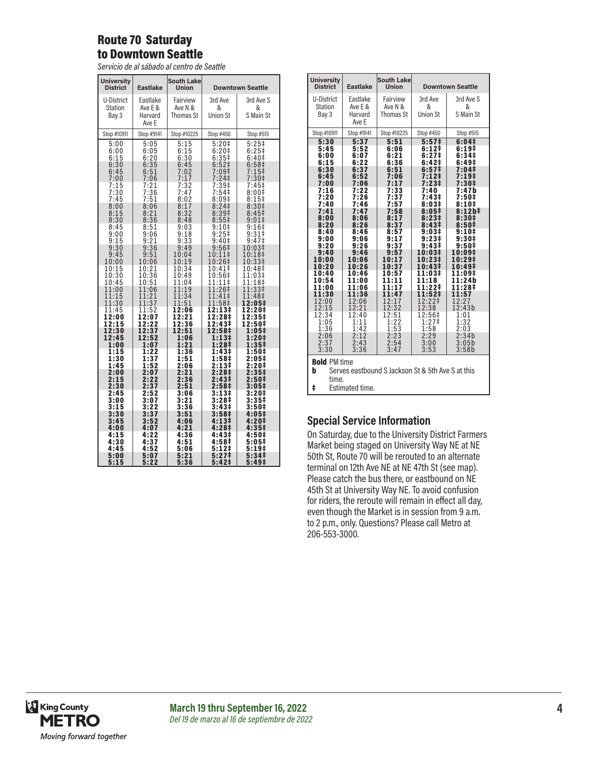#### Route 70 Saturday to Downtown Seattle

*Servicio de al sábado al centro de Seattle*

| <b>University</b><br><b>District</b>                         | <b>Eastlake</b>                                                  | <b>South Lake</b><br><b>Union</b>                                |                                                                                                                                                  | <b>Downtown Seattle</b>                                                                                    |
|--------------------------------------------------------------|------------------------------------------------------------------|------------------------------------------------------------------|--------------------------------------------------------------------------------------------------------------------------------------------------|------------------------------------------------------------------------------------------------------------|
| U-District<br>Station<br>Bay 3                               | Eastlake<br>Ave E &<br>Harvard<br>Ave E                          | Fairview<br>Ave N &<br>Thomas St                                 | 3rd Ave<br>&<br><b>Union St</b>                                                                                                                  | 3rd Ave S<br>&<br>S Main St                                                                                |
| Stop #10911                                                  | Stop #9141                                                       | Stop #10225                                                      | Stop #450                                                                                                                                        | Stop #515                                                                                                  |
| 5:00                                                         | 5:05                                                             | 5:15                                                             | 5:20 <sup>‡</sup>                                                                                                                                | 5:25                                                                                                       |
| 6:00                                                         | 6:05                                                             | 6:15                                                             | 6:201                                                                                                                                            | $6:25+$                                                                                                    |
| 6:15                                                         | 6:20                                                             | 6:30                                                             | 6:35#                                                                                                                                            | 6:40 <sup>‡</sup>                                                                                          |
| 6:30                                                         | 6:35                                                             | 6:45                                                             | $6:52$ ‡                                                                                                                                         | 6:58‡                                                                                                      |
| 6:45                                                         | 6:51                                                             | 7:02                                                             | 7:09 <sup>‡</sup>                                                                                                                                | $7:15+$                                                                                                    |
| 7:00                                                         | 7:06                                                             | 7:17                                                             | $7:24$ ‡                                                                                                                                         | 7:30 <sup>‡</sup>                                                                                          |
| 7:15<br>7:30<br>7:45<br>8:00<br>8:15<br>8:30<br>8:45<br>9:00 | $7:21$<br>$7:36$<br>7:51<br>8:06<br>8:21<br>8:36<br>8:51<br>9:06 | $7:32$<br>$7:47$<br>8:02<br>8:17<br>8:32<br>8:48<br>9:03<br>9:18 | 7:39 <sup>‡</sup><br>7:54 <sup>‡</sup><br>8:09 <sup>‡</sup><br>8:24 <sup>‡</sup><br>8:39 <sup>‡</sup><br>$8:55\frac{1}{2}$<br>$9:10+$<br>$9:25+$ | 7:45‡<br>8:001<br>$8:15$ ‡<br>8:30 <sup>‡</sup><br>8:45 <sup>‡</sup><br>9:01‡<br>9:16 <sup>‡</sup><br>9:31 |
| 9:15                                                         | 9:21                                                             | 9:33                                                             | 9:40 <sup>‡</sup>                                                                                                                                | 9:47 <sup>‡</sup>                                                                                          |
| 9:30                                                         | 9:36                                                             | 9:49                                                             | 9:56 <sup>‡</sup>                                                                                                                                | 10:03‡                                                                                                     |
| 9:45                                                         | 9:51                                                             | 10:04                                                            | 10:11‡                                                                                                                                           | 10:18‡                                                                                                     |
| 10:00                                                        | 10:06                                                            | 10:19                                                            | 10:26‡                                                                                                                                           | 10:33‡                                                                                                     |
| 10:15                                                        | 10:21                                                            | 10:34                                                            | 10:41‡                                                                                                                                           | 10:48‡                                                                                                     |
| 10:30                                                        | 10:36                                                            | 10:49                                                            | 10:56‡                                                                                                                                           | 11:03‡                                                                                                     |
| 10:45                                                        | 10:51                                                            | 11:04                                                            | 11:11‡                                                                                                                                           | 11:18‡                                                                                                     |
| 11:00                                                        | 11:06                                                            | 11:19                                                            | 11:26‡                                                                                                                                           | 11:33‡                                                                                                     |
| 11:15                                                        | 11:21                                                            | 11:34                                                            | 11:41‡                                                                                                                                           | 11:48‡                                                                                                     |
| 11:30                                                        | 11:37                                                            | 11:51                                                            | 11:58‡                                                                                                                                           | 12:05‡                                                                                                     |
| 11:45                                                        | 11:52                                                            | 12:06                                                            | 12:13‡                                                                                                                                           | 12:20‡                                                                                                     |
| 12:00                                                        | 12:07                                                            | 12:21                                                            | 12:28‡                                                                                                                                           | 12:35‡                                                                                                     |
| 12:15                                                        | 12:22                                                            | 12:36                                                            | 12:43‡                                                                                                                                           | 12:50‡                                                                                                     |
| 12:30                                                        | 12:37                                                            | 12:51                                                            | 12:58‡                                                                                                                                           | 1:05‡                                                                                                      |
| 12:45                                                        | 12:52                                                            | 1:06                                                             | 1:13‡                                                                                                                                            | 1:20‡                                                                                                      |
| 1:00                                                         | 1:07                                                             | 1:21                                                             | 1:28‡                                                                                                                                            | 1:35‡                                                                                                      |
| 1:15                                                         | 1:22                                                             | 1:36                                                             | 1:43‡                                                                                                                                            | 1:50‡                                                                                                      |
| 1:30                                                         | 1:37                                                             | 1:51                                                             | 1:58‡                                                                                                                                            | 2:05‡                                                                                                      |
| 1:45                                                         | 1:52                                                             | 2:06                                                             | 2:13‡                                                                                                                                            | 2:20‡                                                                                                      |
| 2:00                                                         | 2:07                                                             | 2:21                                                             | 2:28 <sup>‡</sup>                                                                                                                                | 2:35 <sup>‡</sup>                                                                                          |
| 2:15                                                         | 2:22                                                             | 2:36                                                             | 2:43‡                                                                                                                                            | 2:50‡                                                                                                      |
| 2:30                                                         | 2:37                                                             | 2:51                                                             | 2:58‡                                                                                                                                            | 3:05‡                                                                                                      |
| 2:45                                                         | 2:52                                                             | 3:06                                                             | 3:13#                                                                                                                                            | 3:20‡                                                                                                      |
| 3:00                                                         | 3:07                                                             | 3:21                                                             | 3:28‡                                                                                                                                            | 3:35‡                                                                                                      |
| 3:15                                                         | 3:22                                                             | 3:36                                                             | 3:43‡                                                                                                                                            | 3:50 <sup>‡</sup>                                                                                          |
| 3:30                                                         | 3:37                                                             | 3:51                                                             | 3:58‡                                                                                                                                            | 4:05‡                                                                                                      |
| 3:45                                                         | 3:52                                                             | 4:06                                                             | 4:13‡                                                                                                                                            | 4:20‡                                                                                                      |
| 4:00                                                         | 4:07                                                             | 4:21                                                             | 4:28‡                                                                                                                                            | 4:35‡                                                                                                      |
| 4:15                                                         | 4:22                                                             | 4:36                                                             | 4:43#                                                                                                                                            | 4:50‡                                                                                                      |
| 4:30                                                         | 4:37                                                             | 4:51                                                             | 4:58‡                                                                                                                                            | 5:05‡                                                                                                      |
| 4:45                                                         | 4:52                                                             | 5:06                                                             | $5:12+$                                                                                                                                          | 5:19‡                                                                                                      |
| 5:00                                                         | 5:07                                                             | 5:21                                                             | 5:27‡                                                                                                                                            | 5:34‡                                                                                                      |
| 5:15                                                         | 5:22                                                             | 5:36                                                             | 5:42‡                                                                                                                                            | 5:49‡                                                                                                      |

| <b>University</b><br><b>District</b> | <b>Eastlake</b>                                   | <b>South Lake</b><br><b>Union</b> |                            | <b>Downtown Seattle</b> |  |
|--------------------------------------|---------------------------------------------------|-----------------------------------|----------------------------|-------------------------|--|
| U-District                           | Eastlake                                          | Fairview                          | 3rd Ave                    | 3rd Ave S               |  |
| <b>Station</b>                       | Ave E &                                           | Ave N &                           | &                          | &                       |  |
| Bay 3                                | Harvard                                           | Thomas St                         | <b>Union St</b>            | S Main St               |  |
|                                      | Ave F                                             |                                   |                            |                         |  |
| Stop #10911                          | Stop #9141                                        | Stop #10225                       | Stop #450                  | Stop #515               |  |
| 5:30                                 | 5:37                                              | 5:51                              | 5:57 <sup>‡</sup>          | 6:04#                   |  |
| 5:45                                 | 5:52                                              | 6:06                              | 6:121                      | 6:19 <sup>‡</sup>       |  |
| 6:00<br>6:15                         | 6:07<br>6:22                                      | 6:21<br>6:36                      | 6:27‡<br>6:42 <sup>‡</sup> | 6:34#<br>6:49‡          |  |
| 6:30                                 | 6:37                                              | 6:51                              | 6:57 <sup>‡</sup>          | 7:04 <sup>‡</sup>       |  |
| 6:45                                 | 6:52                                              | 7:06                              | 7:12‡                      | 7:19‡                   |  |
| 7:00                                 | 7:06                                              | 7:17                              | 7:231                      | 7:30‡                   |  |
| 7:16<br>7:20                         | 7:22<br>7:26                                      | 7:33<br>7:37                      | 7:40<br>7:43‡              | 7:47b<br>7:50‡          |  |
| 7:40                                 | 7:46                                              | 7:57                              | 8:03#                      | 8:10‡                   |  |
| 7:41                                 | 7:47                                              | 7:58                              | $8:05\ddagger$             | $8:12h\ddagger$         |  |
| 8:00                                 | 8:06                                              | 8:17                              | 8:231                      | 8:30#                   |  |
| 8:20<br>8:40                         | 8:26<br>8:46                                      | 8:37<br>8:57                      | 8:43 <sup>‡</sup><br>9:03# | 8:50#<br>$9:10+$        |  |
| 9:00                                 | 9:06                                              | 9:17                              | $9:23 \ddagger$            | 9:30#                   |  |
| 9:20                                 | 9:26                                              | 9:37                              | 9:43 <sup>‡</sup>          | 9:50 <sup>‡</sup>       |  |
| 9:40<br>10:00                        | 9:46<br>10:06                                     | 9:57<br>10:17                     | 10:03‡<br>10:23‡           | 10:09‡<br>10:29‡        |  |
| 10:20                                | 10:26                                             | 10:37                             | 10:43‡                     | 10:49‡                  |  |
| 10:40                                | 10:46                                             | 10:57                             | 11:03‡                     | 11:09‡                  |  |
| 10:54                                | 11:00                                             | 11:11                             | 11:18                      | 11:24b                  |  |
| 11:00<br>11:30                       | 11:06<br>11:36                                    | 11:17<br>11:47                    | 11:22‡<br>11:52‡           | 11:28‡<br>11:57         |  |
| 12:00                                | 12:06                                             | 12:17                             | 12:22‡                     | 12:27                   |  |
| 12:15                                | 12:21                                             | 12:32                             | 12:38                      | 12:43b                  |  |
| 12:34                                | 12:40                                             | 12:51                             | 12:56‡                     | 1:01                    |  |
| 1:05<br>1:36                         | 1:11<br>1:42                                      | 1:22<br>1:53                      | 1:27 <sup>‡</sup><br>1:58  | 1:32<br>2:03            |  |
| 2:06                                 | 2:12                                              | 2:23                              | 2:29                       | 2:34b                   |  |
| 2:37                                 | 2:43                                              | 2:54                              | 3:00                       | 3:05b                   |  |
| 3:30                                 | 3:36                                              | 3:47                              | 3:53                       | 3:58b                   |  |
| <b>Bold PM time</b>                  |                                                   |                                   |                            |                         |  |
| b                                    | Serves eastbound S Jackson St & 5th Ave S at this |                                   |                            |                         |  |
| time.                                |                                                   |                                   |                            |                         |  |
| ŧ<br>Estimated time.                 |                                                   |                                   |                            |                         |  |

#### **Special Service Information**

On Saturday, due to the University District Farmers Market being staged on University Way NE at NE 50th St, Route 70 will be rerouted to an alternate terminal on 12th Ave NE at NE 47th St (see map). Please catch the bus there, or eastbound on NE 45th St at University Way NE. To avoid confusion for riders, the reroute will remain in effect all day, even though the Market is in session from 9 a.m. to 2 p.m., only. Questions? Please call Metro at 206-553-3000.

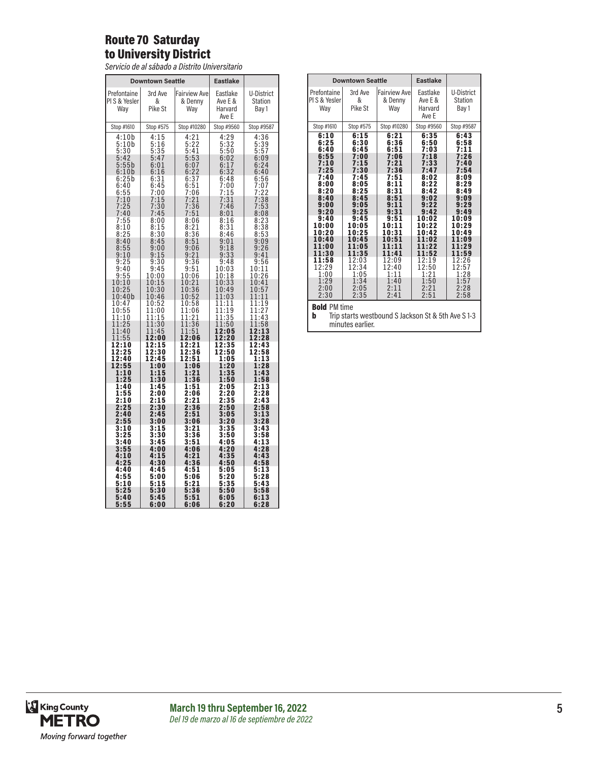## Route 70 Saturday to University District

*Servicio de al sábado a Distrito Universitario*

|                                                  | <b>Downtown Seattle</b>                      |                                                          | <b>Eastlake</b>                                    |                                                     |
|--------------------------------------------------|----------------------------------------------|----------------------------------------------------------|----------------------------------------------------|-----------------------------------------------------|
| Prefontaine<br>PIS & Yesler<br>Wav               | 3rd Ave<br>&<br>Pike St                      | <b>Fairview Ave</b><br>& Denny<br>Way                    | Eastlake<br>Ave E &<br>Harvard<br>Ave E            | U-District<br>Station<br>Bay 1                      |
| Stop #1610                                       | Stop #575                                    | Stop #10280                                              | Stop #9560                                         | Stop #9587                                          |
| 4:10b<br>5:10b<br>5:30<br>5:42<br>5:55b<br>6:10b | 4:15<br>5:16<br>5:35<br>5:47<br>6:01<br>6:16 | 4:21<br>5:22<br>5:41<br>5:53<br>6:07<br>$6:22$<br>$6:37$ | $4:29$<br>$5:32$<br>$5:50$<br>6:02<br>6:17<br>6:32 | 4:36<br>$\frac{5:39}{5:57}$<br>6:09<br>6:24<br>6:40 |
| 6:25b<br>6:40<br>6:55                            | 6:31<br>6:45<br>7:00                         | 6:51<br>7:06                                             | 6:48<br>7:00<br>7:15                               | 6:56<br>7:07<br>7:22                                |
| 7:10<br>7:25<br>7:40                             | 7:15<br>7<br>30<br>7:45                      | 7:21<br>$\overline{3}\overline{6}$<br>7:<br>7:51         | 7:31<br>7:46<br>8:01                               | 7:38<br>7:53<br>8:08                                |
| 7:55<br>8:10<br>8:25<br>8:40                     | 8:00<br>8:15<br>8:30                         | 8:06<br>8:21<br>8:36                                     | 8:16<br>8:31<br>8:46                               | 8:23<br>8:38<br>8:53                                |
| 8:55<br>9:10<br>9:25                             | 8:45<br>9:00<br>9:15<br>9:30                 | 8:51<br>9:06<br>9:21<br>9:36                             | 9:01<br>9:18<br>9:33                               | 9:09<br>9:26<br>9:41                                |
| 9:40<br>9:55<br>10:10                            | 9:45<br>10:00<br>10:15                       | 9:51<br>10:06<br>10:21                                   | 9:48<br>10:03<br>10:18<br>10:33                    | 9:56<br>10:11<br>10:26<br>10:41                     |
| 10:25<br>10:40 <sub>b</sub><br>10:47             | $\overline{30}$<br>10:<br>10:46<br>10:52     | $\overline{36}$<br>10:<br>10:52<br>10:58                 | 10:49<br>11:03<br>11:11                            | 10:57<br>11:11<br>11:19                             |
| 10:55<br>1:10<br>1<br>1:25<br>1                  | 11:00<br>11:15<br>11:30                      | 11:06<br>1<br>1:21<br>1:36<br>1                          | 1<br>1:19<br>1<br>1:35<br>1:50<br>1                | 11:27<br>11:43<br>11:58                             |
| 11:40<br>11:55<br>12:10                          | 11:45<br>12:00<br>12:15                      | 11:51<br>12:06<br>12:21                                  | 12:05<br>12:20<br>12:35                            | 12:13<br>12:28<br>12:43                             |
| 12:25<br>12:40<br>12:55<br>1:10<br>1:25          | 12:30<br>12:45<br>1:00<br>1:15<br>1:30       | 12:36<br>12:51<br>1:06<br>1:21<br>1:36                   | 12:50<br>1:05<br>1:20<br>1:35<br>1:50              | 12:58<br>1:13<br>1:28<br>1:43<br>1:58               |
| 1:40<br>1:55<br>2:10                             | 1:45<br>2:00<br>2:15                         | 1:51<br>2:06<br>2:21                                     | 2:05<br>2:20<br>2:35                               | 2:13<br>2:28<br>2:43                                |
| 2:25<br>2:40<br>2:55<br>3:10                     | 2:30<br>2:45<br>3:00<br>3:15                 | 2:36<br>2:51<br>3:06<br>3:21                             | 2:50<br>3:05<br>3:20<br>3:35                       | 2:58<br>3:13<br>3:28<br>3:43                        |
| 3:25<br>3:40<br>3:55                             | 3:30<br>3:45<br>4:00                         | 3:36<br>3:51<br>4:06                                     | 3:50<br>4:05<br>4:20                               | 3:58<br>4:13<br>4:28                                |
| 4:10<br>4:25<br>4:40                             | 4:15<br>4:30<br>4:45                         | 4:21<br>4:36<br>4:51                                     | 4:35<br>4:50<br>5:05                               | 4:43<br>4:58<br>5:13                                |
| 4:55<br>5:10<br>5:25                             | 5:00<br>5:15<br>5:30                         | 5:06<br>5:21<br>5:36                                     | 5:20<br>5:35<br>5:50                               | 5:28<br>5:43<br>5:58                                |
| 5:40<br>5:55                                     | 5:45<br>6:00                                 | 5:51<br>6:06                                             | 6:05<br>6:20                                       | 6:13<br>6:28                                        |

| <b>Eastlake</b><br><b>Downtown Seattle</b>                                                                                                                                                          |                                                                                                                                                                                                     |                                                                                                                                                                                            |                                                                                                                                                                                                         |                                                                                                                                                                                                     |  |
|-----------------------------------------------------------------------------------------------------------------------------------------------------------------------------------------------------|-----------------------------------------------------------------------------------------------------------------------------------------------------------------------------------------------------|--------------------------------------------------------------------------------------------------------------------------------------------------------------------------------------------|---------------------------------------------------------------------------------------------------------------------------------------------------------------------------------------------------------|-----------------------------------------------------------------------------------------------------------------------------------------------------------------------------------------------------|--|
| Prefontaine<br>PIS & Yesler<br>Wav                                                                                                                                                                  | 3rd Ave<br>&<br>Pike St                                                                                                                                                                             | <b>Fairview Ave</b><br>& Denny<br>Way                                                                                                                                                      | Eastlake<br>Ave E &<br>Harvard<br>Ave E                                                                                                                                                                 | U-District<br><b>Station</b><br>Bay 1                                                                                                                                                               |  |
| Stop #1610                                                                                                                                                                                          | Stop #575                                                                                                                                                                                           | Stop #10280                                                                                                                                                                                | Stop #9560                                                                                                                                                                                              | Stop #9587                                                                                                                                                                                          |  |
| 6:10<br>6:25<br>6:40<br>6:55<br>7:10<br>7:25<br>7:40<br>8:00<br>8:20<br>8:40<br>9:00<br>9:20<br>9:40<br>10:00<br>10:20<br>10:40<br>11:00<br>11:30<br>11:58<br>12:29<br>1:00<br>1:29<br>2:00<br>2:30 | 6:15<br>6:30<br>6:45<br>7:00<br>7:15<br>7:30<br>7:45<br>8:05<br>8:25<br>8:45<br>9:05<br>9:25<br>9:45<br>10:05<br>10:25<br>10:45<br>11:05<br>11:35<br>12:03<br>12:34<br>1:05<br>1:34<br>2:05<br>2:35 | 6:21<br>6:36<br>6:51<br>7:06<br>7:21<br>7:36<br>7:51<br>8:11<br>8:31<br>8:51<br>9:11<br>9:31<br>9:51<br>10:11<br>10:31<br>10:51<br>11:41<br>12:09<br>12:40<br>1:11<br>1:40<br>2:11<br>2:41 | 6:35<br>6:50<br>7:03<br>7:18<br>7:33<br>7:47<br>8:02<br>8:22<br>8:42<br>9:02<br>9:22<br>9:42<br>10:02<br>10:22<br>10:42<br>1:02<br>1<br>1:22<br>11:52<br>12:19<br>12:50<br>1:21<br>1:50<br>2:21<br>2:51 | 6:43<br>6:58<br>7:11<br>7:26<br>7:40<br>7:54<br>8:09<br>8:29<br>8:49<br>9:09<br>9:29<br>9:49<br>10:09<br>10:29<br>10:49<br>11:09<br>1:29<br>11:59<br>12:26<br>12:57<br>1:28<br>1:57<br>2:28<br>2:58 |  |
| <b>Bold PM time</b><br>Trip starts westbound S Jackson St & 5th Ave S 1-3<br>b<br>minutes earlier.                                                                                                  |                                                                                                                                                                                                     |                                                                                                                                                                                            |                                                                                                                                                                                                         |                                                                                                                                                                                                     |  |

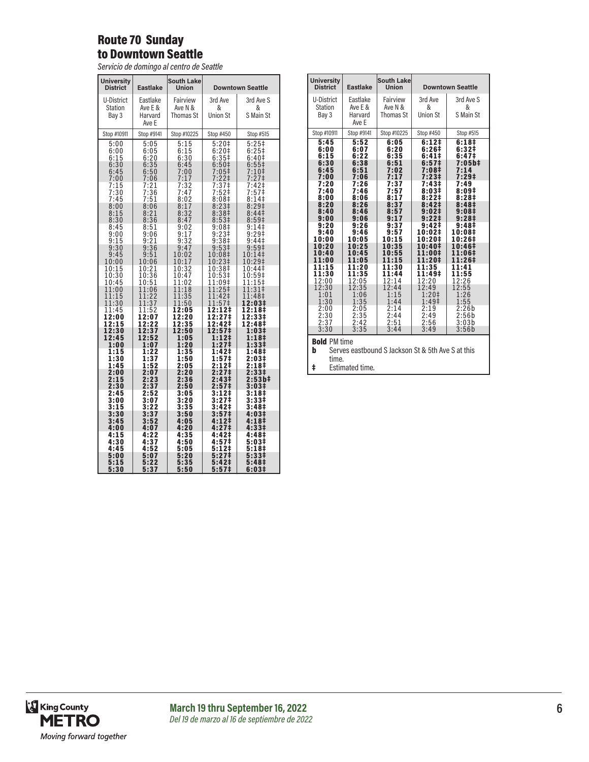## Route 70 Sunday to Downtown Seattle

*Servicio de domingo al centro de Seattle*

| <b>Eastlake</b>                | <b>South Lake</b><br>Union                                                                                                                    |                                                                                                                                         | <b>Downtown Seattle</b>                                                                                                                                                                   |
|--------------------------------|-----------------------------------------------------------------------------------------------------------------------------------------------|-----------------------------------------------------------------------------------------------------------------------------------------|-------------------------------------------------------------------------------------------------------------------------------------------------------------------------------------------|
| Eastlake<br>Ave E &<br>Harvard | Fairview<br>Ave N &<br><b>Thomas St</b>                                                                                                       | 3rd Ave<br>&<br><b>Union St</b>                                                                                                         | 3rd Ave S<br>&<br>S Main St                                                                                                                                                               |
| Ave E                          |                                                                                                                                               |                                                                                                                                         | Stop #515                                                                                                                                                                                 |
| 5:05<br>6:05<br>6:20           | 5:15<br>$6:15$<br>$6:30$                                                                                                                      | $5:20+$<br>$6:20‡$<br>$6:35‡$                                                                                                           | $5:25$ ‡<br>6:25<br>6:40 <sup>‡</sup><br>$6:55\ddagger$                                                                                                                                   |
| 6:50<br>7:06                   | 7:00<br>7:17                                                                                                                                  | 7:05 <sup>‡</sup><br>$7:22$ ‡                                                                                                           | 7:10 <sup>‡</sup><br>7:27 <sup>‡</sup>                                                                                                                                                    |
| 7:51                           | 7:47<br>8:02                                                                                                                                  | 8:08‡                                                                                                                                   | 7:42‡<br>7:57 <sup>‡</sup><br>$8:14$ ‡                                                                                                                                                    |
| 8:21<br>8:36                   | 8:32<br>8:47                                                                                                                                  | 8:38 <sup>‡</sup><br>8:53 <sup>‡</sup>                                                                                                  | 8:29 <sup>‡</sup><br>8:44 <sup>‡</sup><br>8:59‡                                                                                                                                           |
| 9:06<br>9:21                   | 9:17<br>9:32                                                                                                                                  | 9:23‡<br>9:38‡                                                                                                                          | 9:14<br>$9:29^+$<br>9:44                                                                                                                                                                  |
| 9:51<br>10:06                  | 9:47<br>10:02<br>10:17                                                                                                                        | 9:53 <sup>‡</sup><br>10:08‡<br>10:23‡                                                                                                   | 9:59 <sup>‡</sup><br>10:14‡<br>10:29‡                                                                                                                                                     |
| 10:21<br>10:36                 | 10:32<br>10:47                                                                                                                                | 10:38‡<br>10:53‡                                                                                                                        | 10:44‡<br>10:59‡<br>11:15‡                                                                                                                                                                |
| 11:06<br>11:22                 | 11:18<br>11:35                                                                                                                                | 11:25‡<br>11:42‡<br>11:57‡                                                                                                              | 11:31‡<br>11:48‡<br>12:03‡                                                                                                                                                                |
| 11:52<br>12:07                 | 12:20                                                                                                                                         | 12:27‡                                                                                                                                  | 12:18‡<br>12:33‡<br>12:48‡                                                                                                                                                                |
| 12:37<br>12:52                 | 12:50<br>1:05                                                                                                                                 | 12:57‡<br>1:12‡                                                                                                                         | 1:03‡<br>1:18‡<br>1:33‡                                                                                                                                                                   |
| 1:22<br>1:37                   | 1:35<br>1:50                                                                                                                                  | 1:42‡<br>1:57‡                                                                                                                          | 1:48‡<br>2:03‡<br>2:18‡                                                                                                                                                                   |
| 2:07<br>2:23                   | 2:20<br>2:36                                                                                                                                  | 2:27 <sup>‡</sup><br>2:43‡                                                                                                              | 2:33‡<br>2:53b‡<br>3:03#                                                                                                                                                                  |
| 2:52<br>3:07                   | 3:05<br>3:20                                                                                                                                  | 3:12‡<br>3:27‡                                                                                                                          | 3:18‡<br>3:33‡<br>3:48 <sup>‡</sup>                                                                                                                                                       |
| 3:37<br>3:52                   | 3:50<br>4:05                                                                                                                                  | 3:57‡<br>$4:12+$                                                                                                                        | 4:03‡<br>4:181                                                                                                                                                                            |
| 4:22<br>4:37                   | 4:35<br>4:50                                                                                                                                  | 4:42‡<br>4:57‡                                                                                                                          | 4:33‡<br>4:48‡<br>5:03‡                                                                                                                                                                   |
| 5:07<br>5:22                   | 5:20<br>5:35                                                                                                                                  | 5:27 <sup>‡</sup><br>5:42‡                                                                                                              | 5:18‡<br>5:33‡<br>5:48‡<br>6:03‡                                                                                                                                                          |
|                                | Stop #9141<br>6:35<br>7:21<br>7:36<br>8:06<br>8:51<br>9:36<br>10:51<br>11:37<br>12:22<br>1:07<br>1:52<br>2:37<br>3:22<br>4:07<br>4:52<br>5:37 | Stop #10225<br>6:45<br>7:32<br>8:17<br>9:02<br>11:02<br>11:50<br>12:05<br>12:35<br>1:20<br>2:05<br>2:50<br>3:35<br>4:20<br>5:05<br>5:50 | Stop #450<br>6:50 <sup>‡</sup><br>$7:37†$<br>7:52‡<br>8:23 <sup>‡</sup><br>9:08‡<br>11:09‡<br>12:12‡<br>12:42‡<br>1:27‡<br>2:12‡<br>2:57‡<br>3:42‡<br>4:27‡<br>5:12‡<br>5:57 <sup>‡</sup> |

| <b>University</b><br><b>District</b>                                                   | <b>Eastlake</b>                         | South Lake<br><b>Union</b>              |                                 | <b>Downtown Seattle</b>     |
|----------------------------------------------------------------------------------------|-----------------------------------------|-----------------------------------------|---------------------------------|-----------------------------|
| U-District<br>Station<br>Bay 3                                                         | Eastlake<br>Ave E &<br>Harvard<br>Ave E | Fairview<br>Ave N &<br><b>Thomas St</b> | 3rd Ave<br>&<br><b>Union St</b> | 3rd Ave S<br>&<br>S Main St |
| Stop #10911                                                                            | Stop #9141                              | Stop #10225                             | Stop #450                       | Stop #515                   |
| 5:45                                                                                   | 5:52                                    | 6:05                                    | $6:12^{+}$                      | 6:18 <sup>‡</sup>           |
| 6:00                                                                                   | 6:07                                    | 6:20                                    | 6:26‡                           | 6:32#                       |
| 6:15                                                                                   | 6:22                                    | 6:35                                    | 6:41‡                           | 6:47‡                       |
| 6:30                                                                                   | 6:38                                    | 6:51                                    | 6:57 <sup>‡</sup>               | 7:05b‡                      |
| 6:45                                                                                   | 6:51                                    | 7:02                                    | 7:08‡                           | 7:14                        |
| 7:00                                                                                   | 7:06                                    | 7:17                                    | 7:23‡                           | 7:29‡                       |
| 7:20                                                                                   | 7:26                                    | 7:37                                    | 7:43‡                           | 7:49                        |
| 7:40                                                                                   | 7:46                                    | 7:57                                    | 8:03#                           | 8:09#                       |
| 8:00                                                                                   | 8:06                                    | 8:17                                    | 8:22 <sup>‡</sup>               | 8:28 <sup>‡</sup>           |
| 8:20                                                                                   | 8:26                                    | 8:37                                    | 8:42‡                           | 8:48‡                       |
| 8:40                                                                                   | 8:46                                    | 8:57                                    | $9:02 \ddagger$                 | 9:08 <sup>‡</sup>           |
| 9:00                                                                                   | 9:06                                    | 9:17                                    | 9:221                           | $9:28\pm$                   |
| 9:20                                                                                   | 9:26                                    | 9:37                                    | 9:42 <sup>‡</sup>               | 9:48 <sup>‡</sup>           |
| 9:40                                                                                   | 9:46                                    | 9:57                                    | 10:02‡                          | 10:08‡                      |
| 10:00                                                                                  | 10:05                                   | 10:15                                   | 10:20‡                          | 10:26‡                      |
| 10:20                                                                                  | 10:25                                   | 10:35                                   | 10:40‡                          | 10:46‡                      |
| 10:40                                                                                  | 10:45                                   | 10:55                                   | 11:00‡                          | 11:06‡                      |
| 11:00                                                                                  | 11:05                                   | 11:15                                   | 11:20‡                          | 11:26‡                      |
| 11:15                                                                                  | 11:20                                   | 11:30                                   | 11:35                           | 11:41                       |
| 11:30                                                                                  | 11:35                                   | 11:44                                   | 11:49‡                          | 11:55                       |
| 12:00                                                                                  | 12:05                                   | 12:14                                   | 12:20                           | 12:26                       |
| 12:30                                                                                  | 12:35                                   | 12:44                                   | 12:49                           | 12:55                       |
| 1:01                                                                                   | 1:06                                    | 1:15                                    | $1:20+$                         | 1:26                        |
| 1:30                                                                                   | 1:35                                    | 1:44                                    | 1:49‡                           | 1:55                        |
| 2:00                                                                                   | 2:05                                    | 2:14                                    | 2:19                            | 2:26b                       |
| 2:30                                                                                   | 2:35                                    | 2:44                                    | 2:49                            | 2:56b                       |
| 2:37                                                                                   | 2:42                                    | 2:51                                    | 2:56                            | 3:03b                       |
| 3:30                                                                                   | 3:35                                    | 3:44                                    | 3:49                            | 3:56b                       |
| <b>Bold PM time</b><br>b<br>Serves eastbound S Jackson St & 5th Ave S at this<br>time. |                                         |                                         |                                 |                             |

‡ Estimated time.